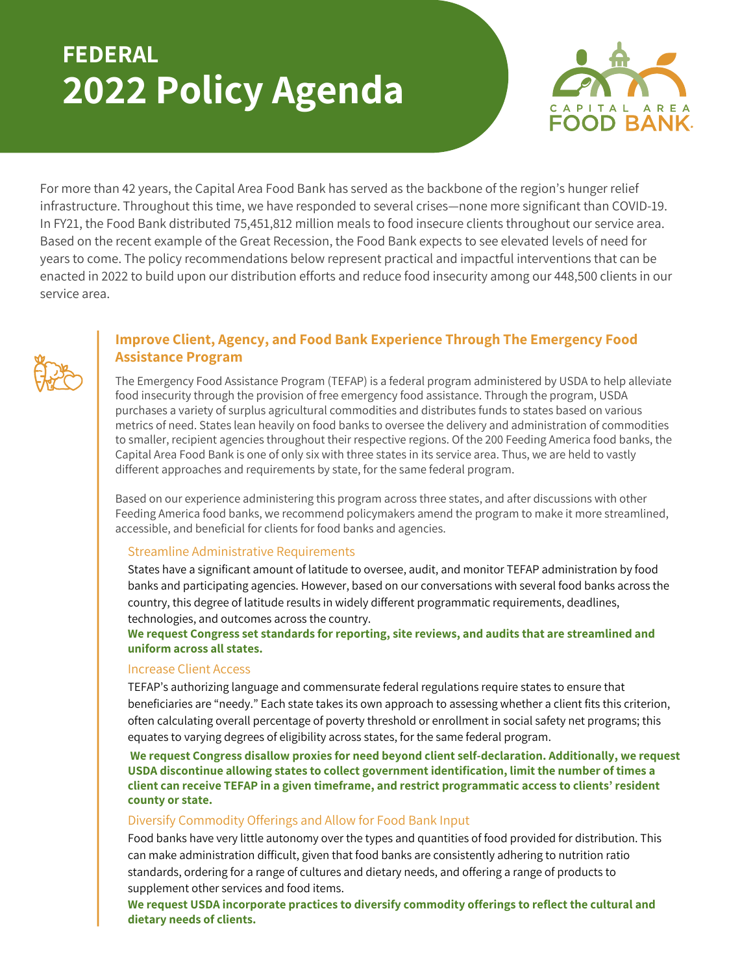# **FEDERAL 2022 Policy Agenda**



For more than 42 years, the Capital Area Food Bank has served as the backbone of the region's hunger relief infrastructure. Throughout this time, we have responded to several crises—none more significant than COVID-19. In FY21, the Food Bank distributed 75,451,812 million meals to food insecure clients throughout our service area. Based on the recent example of the Great Recession, the Food Bank expects to see elevated levels of need for years to come. The policy recommendations below represent practical and impactful interventions that can be enacted in 2022 to build upon our distribution efforts and reduce food insecurity among our 448,500 clients in our service area.



# **Improve Client, Agency, and Food Bank Experience Through The Emergency Food Assistance Program**

The Emergency Food Assistance Program (TEFAP) is a federal program administered by USDA to help alleviate food insecurity through the provision of free emergency food assistance. Through the program, USDA purchases a variety of surplus agricultural commodities and distributes funds to states based on various metrics of need. States lean heavily on food banks to oversee the delivery and administration of commodities to smaller, recipient agencies throughout their respective regions. Of the 200 Feeding America food banks, the Capital Area Food Bank is one of only six with three states in its service area. Thus, we are held to vastly different approaches and requirements by state, for the same federal program.

Based on our experience administering this program across three states, and after discussions with other Feeding America food banks, we recommend policymakers amend the program to make it more streamlined, accessible, and beneficial for clients for food banks and agencies.

#### Streamline Administrative Requirements

States have a significant amount of latitude to oversee, audit, and monitor TEFAP administration by food banks and participating agencies. However, based on our conversations with several food banks across the country, this degree of latitude results in widely different programmatic requirements, deadlines, technologies, and outcomes across the country.

**We request Congress set standards for reporting, site reviews, and audits that are streamlined and uniform across all states.**

#### Increase Client Access

TEFAP's authorizing language and commensurate federal regulations require states to ensure that beneficiaries are "needy." Each state takes its own approach to assessing whether a client fits this criterion, often calculating overall percentage of poverty threshold or enrollment in social safety net programs; this equates to varying degrees of eligibility across states, for the same federal program.

**We request Congress disallow proxies for need beyond client self-declaration. Additionally, we request USDA discontinue allowing states to collect government identification, limit the number of times a client can receive TEFAP in a given timeframe, and restrict programmatic access to clients' resident county or state.**

#### Diversify Commodity Offerings and Allow for Food Bank Input

Food banks have very little autonomy over the types and quantities of food provided for distribution. This can make administration difficult, given that food banks are consistently adhering to nutrition ratio standards, ordering for a range of cultures and dietary needs, and offering a range of products to supplement other services and food items.

**We request USDA incorporate practices to diversify commodity offerings to reflect the cultural and dietary needs of clients.**